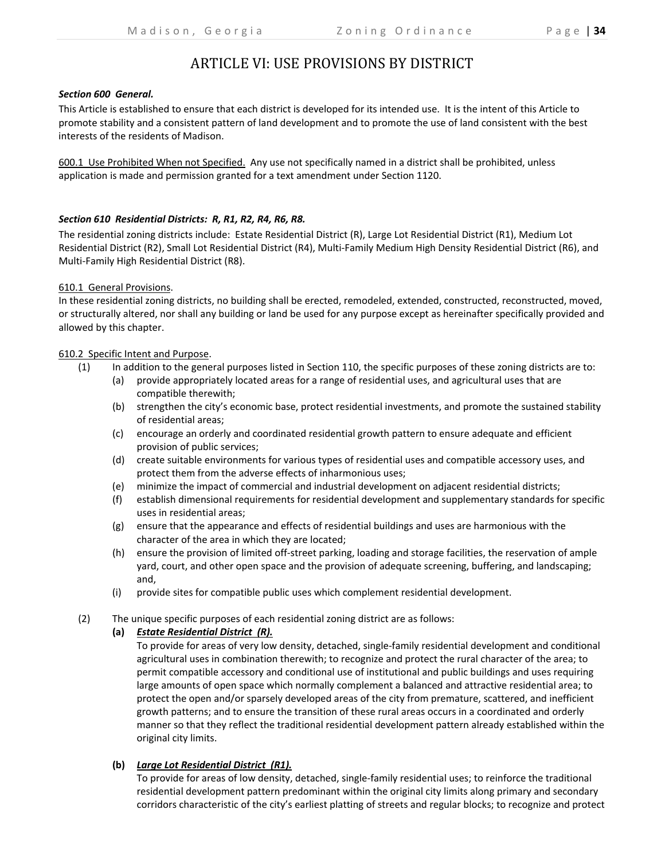# ARTICLE VI: USE PROVISIONS BY DISTRICT

### *Section 600 General.*

This Article is established to ensure that each district is developed for its intended use. It is the intent of this Article to promote stability and a consistent pattern of land development and to promote the use of land consistent with the best interests of the residents of Madison.

600.1 Use Prohibited When not Specified. Any use not specifically named in a district shall be prohibited, unless application is made and permission granted for a text amendment under Section 1120.

# *Section 610 Residential Districts: R, R1, R2, R4, R6, R8.*

The residential zoning districts include: Estate Residential District (R), Large Lot Residential District (R1), Medium Lot Residential District (R2), Small Lot Residential District (R4), Multi‐Family Medium High Density Residential District (R6), and Multi‐Family High Residential District (R8).

### 610.1 General Provisions.

In these residential zoning districts, no building shall be erected, remodeled, extended, constructed, reconstructed, moved, or structurally altered, nor shall any building or land be used for any purpose except as hereinafter specifically provided and allowed by this chapter.

### 610.2 Specific Intent and Purpose.

- (1) In addition to the general purposes listed in Section 110, the specific purposes of these zoning districts are to:
	- (a) provide appropriately located areas for a range of residential uses, and agricultural uses that are compatible therewith;
	- (b) strengthen the city's economic base, protect residential investments, and promote the sustained stability of residential areas;
	- (c) encourage an orderly and coordinated residential growth pattern to ensure adequate and efficient provision of public services;
	- (d) create suitable environments for various types of residential uses and compatible accessory uses, and protect them from the adverse effects of inharmonious uses;
	- (e) minimize the impact of commercial and industrial development on adjacent residential districts;
	- (f) establish dimensional requirements for residential development and supplementary standards for specific uses in residential areas;
	- (g) ensure that the appearance and effects of residential buildings and uses are harmonious with the character of the area in which they are located;
	- (h) ensure the provision of limited off‐street parking, loading and storage facilities, the reservation of ample yard, court, and other open space and the provision of adequate screening, buffering, and landscaping; and,
	- (i) provide sites for compatible public uses which complement residential development.
- (2) The unique specific purposes of each residential zoning district are as follows:

# **(a)** *Estate Residential District (R).*

To provide for areas of very low density, detached, single‐family residential development and conditional agricultural uses in combination therewith; to recognize and protect the rural character of the area; to permit compatible accessory and conditional use of institutional and public buildings and uses requiring large amounts of open space which normally complement a balanced and attractive residential area; to protect the open and/or sparsely developed areas of the city from premature, scattered, and inefficient growth patterns; and to ensure the transition of these rural areas occurs in a coordinated and orderly manner so that they reflect the traditional residential development pattern already established within the original city limits.

# **(b)** *Large Lot Residential District (R1).*

To provide for areas of low density, detached, single-family residential uses; to reinforce the traditional residential development pattern predominant within the original city limits along primary and secondary corridors characteristic of the city's earliest platting of streets and regular blocks; to recognize and protect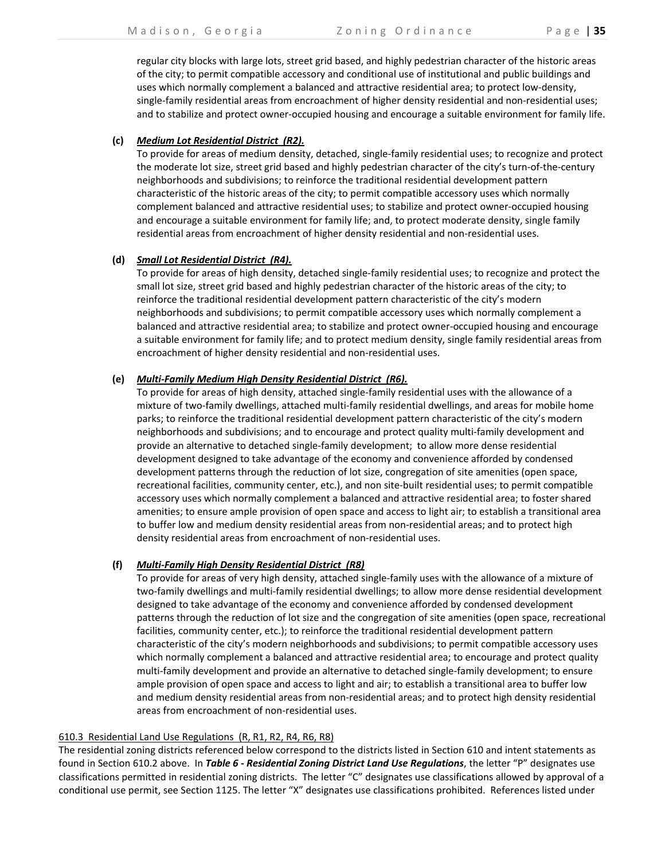regular city blocks with large lots, street grid based, and highly pedestrian character of the historic areas of the city; to permit compatible accessory and conditional use of institutional and public buildings and uses which normally complement a balanced and attractive residential area; to protect low‐density, single-family residential areas from encroachment of higher density residential and non-residential uses; and to stabilize and protect owner‐occupied housing and encourage a suitable environment for family life.

### **(c)** *Medium Lot Residential District (R2).*

To provide for areas of medium density, detached, single‐family residential uses; to recognize and protect the moderate lot size, street grid based and highly pedestrian character of the city's turn-of-the-century neighborhoods and subdivisions; to reinforce the traditional residential development pattern characteristic of the historic areas of the city; to permit compatible accessory uses which normally complement balanced and attractive residential uses; to stabilize and protect owner‐occupied housing and encourage a suitable environment for family life; and, to protect moderate density, single family residential areas from encroachment of higher density residential and non-residential uses.

### **(d)** *Small Lot Residential District (R4).*

To provide for areas of high density, detached single‐family residential uses; to recognize and protect the small lot size, street grid based and highly pedestrian character of the historic areas of the city; to reinforce the traditional residential development pattern characteristic of the city's modern neighborhoods and subdivisions; to permit compatible accessory uses which normally complement a balanced and attractive residential area; to stabilize and protect owner‐occupied housing and encourage a suitable environment for family life; and to protect medium density, single family residential areas from encroachment of higher density residential and non‐residential uses.

# **(e)** *Multi‐Family Medium High Density Residential District (R6).*

To provide for areas of high density, attached single‐family residential uses with the allowance of a mixture of two‐family dwellings, attached multi‐family residential dwellings, and areas for mobile home parks; to reinforce the traditional residential development pattern characteristic of the city's modern neighborhoods and subdivisions; and to encourage and protect quality multi‐family development and provide an alternative to detached single‐family development; to allow more dense residential development designed to take advantage of the economy and convenience afforded by condensed development patterns through the reduction of lot size, congregation of site amenities (open space, recreational facilities, community center, etc.), and non site‐built residential uses; to permit compatible accessory uses which normally complement a balanced and attractive residential area; to foster shared amenities; to ensure ample provision of open space and access to light air; to establish a transitional area to buffer low and medium density residential areas from non-residential areas; and to protect high density residential areas from encroachment of non‐residential uses.

#### **(f)** *Multi‐Family High Density Residential District (R8)*

To provide for areas of very high density, attached single‐family uses with the allowance of a mixture of two‐family dwellings and multi‐family residential dwellings; to allow more dense residential development designed to take advantage of the economy and convenience afforded by condensed development patterns through the reduction of lot size and the congregation of site amenities (open space, recreational facilities, community center, etc.); to reinforce the traditional residential development pattern characteristic of the city's modern neighborhoods and subdivisions; to permit compatible accessory uses which normally complement a balanced and attractive residential area; to encourage and protect quality multi-family development and provide an alternative to detached single-family development; to ensure ample provision of open space and access to light and air; to establish a transitional area to buffer low and medium density residential areas from non-residential areas; and to protect high density residential areas from encroachment of non‐residential uses.

#### 610.3 Residential Land Use Regulations (R, R1, R2, R4, R6, R8)

The residential zoning districts referenced below correspond to the districts listed in Section 610 and intent statements as found in Section 610.2 above. In *Table 6 ‐ Residential Zoning District Land Use Regulations*, the letter "P" designates use classifications permitted in residential zoning districts. The letter "C" designates use classifications allowed by approval of a conditional use permit, see Section 1125. The letter "X" designates use classifications prohibited. References listed under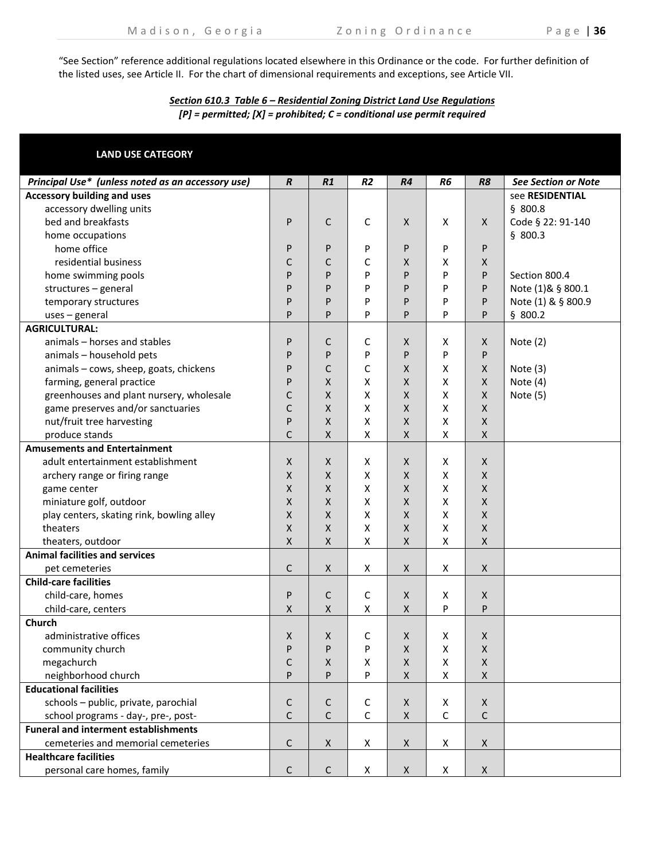"See Section" reference additional regulations located elsewhere in this Ordinance or the code. For further definition of the listed uses, see Article II. For the chart of dimensional requirements and exceptions, see Article VII.

# *Section 610.3 Table 6 – Residential Zoning District Land Use Regulations [P] = permitted; [X] = prohibited; C = conditional use permit required*

| <b>LAND USE CATEGORY</b>                          |                    |             |                    |                    |                    |                           |                            |
|---------------------------------------------------|--------------------|-------------|--------------------|--------------------|--------------------|---------------------------|----------------------------|
| Principal Use* (unless noted as an accessory use) | $\boldsymbol{R}$   | R1          | R <sub>2</sub>     | R4                 | R <sub>6</sub>     | R <sub>8</sub>            | <b>See Section or Note</b> |
| <b>Accessory building and uses</b>                |                    |             |                    |                    |                    |                           | see RESIDENTIAL            |
| accessory dwelling units                          |                    |             |                    |                    |                    |                           | \$800.8                    |
| bed and breakfasts                                | P                  | C           | C                  | X                  | X                  | $\boldsymbol{\mathsf{X}}$ | Code § 22: 91-140          |
| home occupations                                  |                    |             |                    |                    |                    |                           | \$800.3                    |
| home office                                       | P                  | P           | P                  | P                  | P                  | P                         |                            |
| residential business                              | C                  | С           | C                  | X                  | X                  | Χ                         |                            |
| home swimming pools                               | P                  | P           | P                  | P                  | P                  | P                         | Section 800.4              |
| structures - general                              | P                  | P           | P                  | P                  | P                  | P                         | Note (1)& § 800.1          |
| temporary structures                              | P                  | P           | P                  | P                  | P                  | P                         | Note (1) & § 800.9         |
| $uses$ – general                                  | P                  | P           | P                  | P                  | P                  | P                         | \$800.2                    |
| <b>AGRICULTURAL:</b>                              |                    |             |                    |                    |                    |                           |                            |
| animals - horses and stables                      | P                  | С           | C                  | X                  | Х                  | X                         | Note $(2)$                 |
| animals - household pets                          | P                  | P           | P                  | P                  | P                  | P                         |                            |
| animals - cows, sheep, goats, chickens            | P                  | C           | C                  | X                  | X                  | X                         | Note $(3)$                 |
| farming, general practice                         | P                  | X           | X                  | X                  | X                  | $\mathsf{X}$              | Note (4)                   |
| greenhouses and plant nursery, wholesale          | C                  | X           | X                  | X                  | X                  | X                         | Note (5)                   |
| game preserves and/or sanctuaries                 | C                  | X           | X                  | X                  | X                  | X                         |                            |
| nut/fruit tree harvesting                         | P                  | X           | X                  | X                  | X                  | X                         |                            |
| produce stands                                    | C                  | X           | $\pmb{\mathsf{X}}$ | $\pmb{\mathsf{X}}$ | X                  | X                         |                            |
| <b>Amusements and Entertainment</b>               |                    |             |                    |                    |                    |                           |                            |
| adult entertainment establishment                 | $\mathsf{X}$       | X           | X                  | X                  | X                  | X                         |                            |
| archery range or firing range                     | X                  | X           | X                  | X                  | X                  | X                         |                            |
| game center                                       | $\pmb{\mathsf{X}}$ | X           | X                  | X                  | X                  | X                         |                            |
| miniature golf, outdoor                           | Χ                  | X           | X                  | X                  | $\pmb{\mathsf{X}}$ | X                         |                            |
| play centers, skating rink, bowling alley         | Χ                  | X           | X                  | X                  | $\pmb{\mathsf{X}}$ | X                         |                            |
| theaters                                          | Χ                  | Χ           | X                  | Χ                  | $\pmb{\mathsf{X}}$ | Χ                         |                            |
| theaters, outdoor                                 | X                  | Χ           | X                  | $\pmb{\mathsf{X}}$ | X                  | Χ                         |                            |
| <b>Animal facilities and services</b>             |                    |             |                    |                    |                    |                           |                            |
| pet cemeteries                                    | C                  | X           | $\pmb{\mathsf{X}}$ | X                  | X                  | $\pmb{\mathsf{X}}$        |                            |
| <b>Child-care facilities</b>                      |                    |             |                    |                    |                    |                           |                            |
| child-care, homes                                 | P                  | С           | $\mathsf C$        | X                  | X                  | X                         |                            |
| child-care, centers                               | X                  | X           | X                  | X                  | P                  | P                         |                            |
| Church                                            |                    |             |                    |                    |                    |                           |                            |
| administrative offices                            | X                  | X           | C                  | X                  | Х                  | X                         |                            |
| community church                                  | P                  | P           | P                  | X                  | X                  | Χ                         |                            |
| megachurch                                        | С                  | X           | X                  | X                  | X                  | $\mathsf X$               |                            |
| neighborhood church                               | P                  | P           | P                  | Χ                  | X                  | X                         |                            |
| <b>Educational facilities</b>                     |                    |             |                    |                    |                    |                           |                            |
| schools - public, private, parochial              | C                  | С           | C                  | X                  | X                  | X                         |                            |
| school programs - day-, pre-, post-               | $\mathsf C$        | С           | C                  | $\pmb{\mathsf{X}}$ | $\mathsf C$        | C                         |                            |
| <b>Funeral and interment establishments</b>       |                    |             |                    |                    |                    |                           |                            |
| cemeteries and memorial cemeteries                | C                  | X           | X                  | X                  | X                  | $\pmb{\mathsf{X}}$        |                            |
| <b>Healthcare facilities</b>                      |                    |             |                    |                    |                    |                           |                            |
| personal care homes, family                       | $\mathsf C$        | $\mathsf C$ | X                  | X                  | X                  | $\pmb{\mathsf{X}}$        |                            |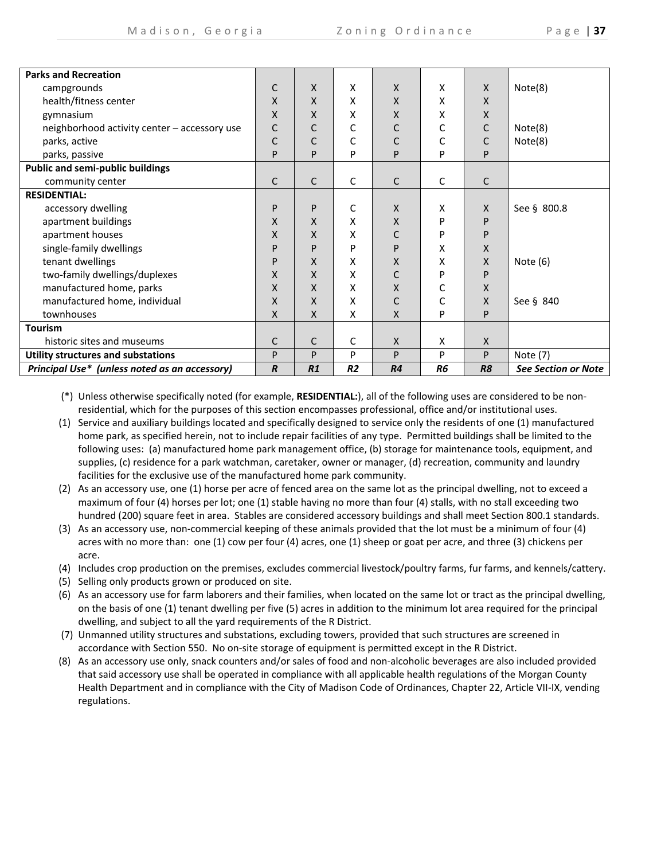|  |  |  |  | , |
|--|--|--|--|---|
|--|--|--|--|---|

| <b>Parks and Recreation</b>                   |                  |              |    |              |                |                |                            |
|-----------------------------------------------|------------------|--------------|----|--------------|----------------|----------------|----------------------------|
| campgrounds                                   | C                | X            | X  | $\mathsf{X}$ | X              | $\mathsf{X}$   | Note(8)                    |
|                                               | X                | X            | x  | $\mathsf{x}$ | x              | X              |                            |
| health/fitness center                         |                  |              |    |              |                |                |                            |
| gymnasium                                     | Χ                | X            | X  | X            | X              | $\mathsf{X}$   |                            |
| neighborhood activity center - accessory use  | С                | С            | С  | С            | С              | С              | Note(8)                    |
| parks, active                                 | C                | C            | C  | C            | C              | C              | Note(8)                    |
| parks, passive                                | P                | P            | P  | P            | P              | P              |                            |
| <b>Public and semi-public buildings</b>       |                  |              |    |              |                |                |                            |
| community center                              | C                | $\mathsf{C}$ | C  | $\mathsf{C}$ | C              | C              |                            |
| <b>RESIDENTIAL:</b>                           |                  |              |    |              |                |                |                            |
| accessory dwelling                            | P                | P            | C  | $\mathsf{X}$ | X              | X              | See § 800.8                |
| apartment buildings                           | X                | X            | X  | $\mathsf{X}$ | P              | P              |                            |
| apartment houses                              | X                | X            | x  | C            | P              | P              |                            |
| single-family dwellings                       | P                | P            | P  | P            | Χ              | X              |                            |
| tenant dwellings                              | P                | X            | X  | X            | x              | X              | Note $(6)$                 |
| two-family dwellings/duplexes                 | X                | X            | x  | C            | P              | P              |                            |
| manufactured home, parks                      | X                | X            | x  | X            | С              | X              |                            |
| manufactured home, individual                 | X                | X            | x  | C            | C              | X              | See § 840                  |
| townhouses                                    | X                | X            | X  | $\mathsf{x}$ | P              | P              |                            |
| <b>Tourism</b>                                |                  |              |    |              |                |                |                            |
| historic sites and museums                    | C                | C            | С  | $\mathsf{X}$ | X              | $\mathsf{X}$   |                            |
| <b>Utility structures and substations</b>     | P                | P            | P  | P            | P              | P              | Note (7)                   |
| Principal Use* (unless noted as an accessory) | $\boldsymbol{R}$ | R1           | R2 | R4           | R <sub>6</sub> | R <sub>8</sub> | <b>See Section or Note</b> |

(\*) Unless otherwise specifically noted (for example, **RESIDENTIAL:**), all of the following uses are considered to be non‐ residential, which for the purposes of this section encompasses professional, office and/or institutional uses.

- (1) Service and auxiliary buildings located and specifically designed to service only the residents of one (1) manufactured home park, as specified herein, not to include repair facilities of any type. Permitted buildings shall be limited to the following uses: (a) manufactured home park management office, (b) storage for maintenance tools, equipment, and supplies, (c) residence for a park watchman, caretaker, owner or manager, (d) recreation, community and laundry facilities for the exclusive use of the manufactured home park community.
- (2) As an accessory use, one (1) horse per acre of fenced area on the same lot as the principal dwelling, not to exceed a maximum of four (4) horses per lot; one (1) stable having no more than four (4) stalls, with no stall exceeding two hundred (200) square feet in area. Stables are considered accessory buildings and shall meet Section 800.1 standards.
- (3) As an accessory use, non‐commercial keeping of these animals provided that the lot must be a minimum of four (4) acres with no more than: one (1) cow per four (4) acres, one (1) sheep or goat per acre, and three (3) chickens per acre.
- (4) Includes crop production on the premises, excludes commercial livestock/poultry farms, fur farms, and kennels/cattery.
- (5) Selling only products grown or produced on site.
- (6) As an accessory use for farm laborers and their families, when located on the same lot or tract as the principal dwelling, on the basis of one (1) tenant dwelling per five (5) acres in addition to the minimum lot area required for the principal dwelling, and subject to all the yard requirements of the R District.
- (7) Unmanned utility structures and substations, excluding towers, provided that such structures are screened in accordance with Section 550. No on‐site storage of equipment is permitted except in the R District.
- (8) As an accessory use only, snack counters and/or sales of food and non‐alcoholic beverages are also included provided that said accessory use shall be operated in compliance with all applicable health regulations of the Morgan County Health Department and in compliance with the City of Madison Code of Ordinances, Chapter 22, Article VII‐IX, vending regulations.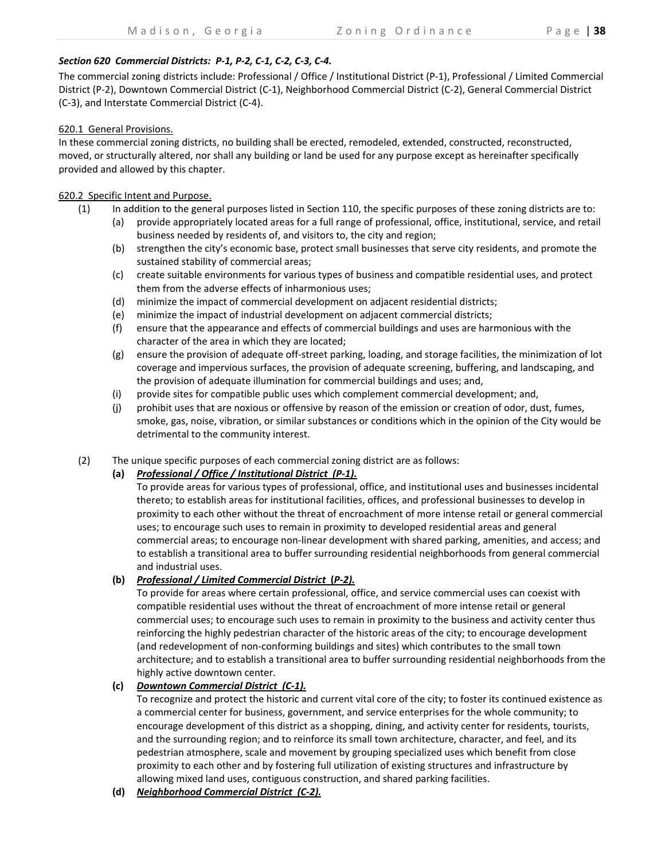# Section 620 Commercial Districts: P-1, P-2, C-1, C-2, C-3, C-4.

The commercial zoning districts include: Professional / Office / Institutional District (P‐1), Professional / Limited Commercial District (P‐2), Downtown Commercial District (C‐1), Neighborhood Commercial District (C‐2), General Commercial District (C‐3), and Interstate Commercial District (C‐4).

# 620.1 General Provisions.

In these commercial zoning districts, no building shall be erected, remodeled, extended, constructed, reconstructed, moved, or structurally altered, nor shall any building or land be used for any purpose except as hereinafter specifically provided and allowed by this chapter.

# 620.2 Specific Intent and Purpose.

- (1) In addition to the general purposes listed in Section 110, the specific purposes of these zoning districts are to:
	- (a) provide appropriately located areas for a full range of professional, office, institutional, service, and retail business needed by residents of, and visitors to, the city and region;
	- (b) strengthen the city's economic base, protect small businesses that serve city residents, and promote the sustained stability of commercial areas;
	- (c) create suitable environments for various types of business and compatible residential uses, and protect them from the adverse effects of inharmonious uses;
	- (d) minimize the impact of commercial development on adjacent residential districts;
	- (e) minimize the impact of industrial development on adjacent commercial districts;
	- (f) ensure that the appearance and effects of commercial buildings and uses are harmonious with the character of the area in which they are located;
	- (g) ensure the provision of adequate off‐street parking, loading, and storage facilities, the minimization of lot coverage and impervious surfaces, the provision of adequate screening, buffering, and landscaping, and the provision of adequate illumination for commercial buildings and uses; and,
	- (i) provide sites for compatible public uses which complement commercial development; and,
	- (j) prohibit uses that are noxious or offensive by reason of the emission or creation of odor, dust, fumes, smoke, gas, noise, vibration, or similar substances or conditions which in the opinion of the City would be detrimental to the community interest.
- (2) The unique specific purposes of each commercial zoning district are as follows:

# **(a)** *Professional / Office / Institutional District (P‐1).*

To provide areas for various types of professional, office, and institutional uses and businesses incidental thereto; to establish areas for institutional facilities, offices, and professional businesses to develop in proximity to each other without the threat of encroachment of more intense retail or general commercial uses; to encourage such uses to remain in proximity to developed residential areas and general commercial areas; to encourage non‐linear development with shared parking, amenities, and access; and to establish a transitional area to buffer surrounding residential neighborhoods from general commercial and industrial uses.

# **(b)** *Professional / Limited Commercial District* **(***P‐2).*

To provide for areas where certain professional, office, and service commercial uses can coexist with compatible residential uses without the threat of encroachment of more intense retail or general commercial uses; to encourage such uses to remain in proximity to the business and activity center thus reinforcing the highly pedestrian character of the historic areas of the city; to encourage development (and redevelopment of non‐conforming buildings and sites) which contributes to the small town architecture; and to establish a transitional area to buffer surrounding residential neighborhoods from the highly active downtown center.

# **(c)** *Downtown Commercial District (C‐1).*

To recognize and protect the historic and current vital core of the city; to foster its continued existence as a commercial center for business, government, and service enterprises for the whole community; to encourage development of this district as a shopping, dining, and activity center for residents, tourists, and the surrounding region; and to reinforce its small town architecture, character, and feel, and its pedestrian atmosphere, scale and movement by grouping specialized uses which benefit from close proximity to each other and by fostering full utilization of existing structures and infrastructure by allowing mixed land uses, contiguous construction, and shared parking facilities.

**(d)** *Neighborhood Commercial District (C‐2).*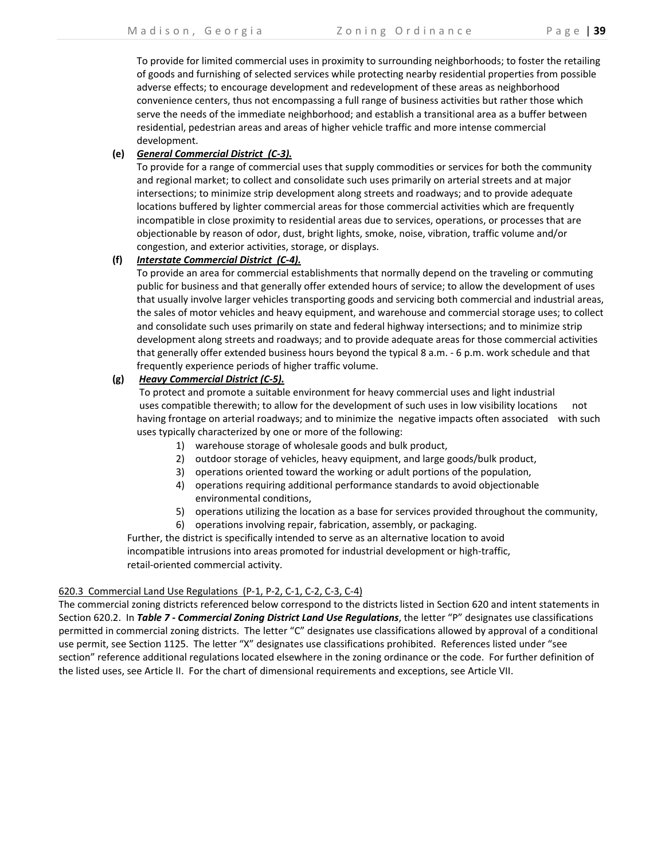To provide for limited commercial uses in proximity to surrounding neighborhoods; to foster the retailing of goods and furnishing of selected services while protecting nearby residential properties from possible adverse effects; to encourage development and redevelopment of these areas as neighborhood convenience centers, thus not encompassing a full range of business activities but rather those which serve the needs of the immediate neighborhood; and establish a transitional area as a buffer between residential, pedestrian areas and areas of higher vehicle traffic and more intense commercial development.

# **(e)** *General Commercial District (C‐3).*

To provide for a range of commercial uses that supply commodities or services for both the community and regional market; to collect and consolidate such uses primarily on arterial streets and at major intersections; to minimize strip development along streets and roadways; and to provide adequate locations buffered by lighter commercial areas for those commercial activities which are frequently incompatible in close proximity to residential areas due to services, operations, or processes that are objectionable by reason of odor, dust, bright lights, smoke, noise, vibration, traffic volume and/or congestion, and exterior activities, storage, or displays.

# **(f)** *Interstate Commercial District (C‐4).*

To provide an area for commercial establishments that normally depend on the traveling or commuting public for business and that generally offer extended hours of service; to allow the development of uses that usually involve larger vehicles transporting goods and servicing both commercial and industrial areas, the sales of motor vehicles and heavy equipment, and warehouse and commercial storage uses; to collect and consolidate such uses primarily on state and federal highway intersections; and to minimize strip development along streets and roadways; and to provide adequate areas for those commercial activities that generally offer extended business hours beyond the typical 8 a.m. ‐ 6 p.m. work schedule and that frequently experience periods of higher traffic volume.

# **(g)** *Heavy Commercial District (C‐5).*

 To protect and promote a suitable environment for heavy commercial uses and light industrial uses compatible therewith; to allow for the development of such uses in low visibility locations not having frontage on arterial roadways; and to minimize the negative impacts often associated with such uses typically characterized by one or more of the following:

- 1) warehouse storage of wholesale goods and bulk product,
- 2) outdoor storage of vehicles, heavy equipment, and large goods/bulk product,
- 3) operations oriented toward the working or adult portions of the population,
- 4) operations requiring additional performance standards to avoid objectionable environmental conditions,
- 5) operations utilizing the location as a base for services provided throughout the community,
- 6) operations involving repair, fabrication, assembly, or packaging.

 Further, the district is specifically intended to serve as an alternative location to avoid incompatible intrusions into areas promoted for industrial development or high-traffic, retail‐oriented commercial activity.

# 620.3 Commercial Land Use Regulations (P‐1, P‐2, C‐1, C‐2, C‐3, C‐4)

The commercial zoning districts referenced below correspond to the districts listed in Section 620 and intent statements in Section 620.2. In *Table 7 ‐ Commercial Zoning District Land Use Regulations*, the letter "P" designates use classifications permitted in commercial zoning districts. The letter "C" designates use classifications allowed by approval of a conditional use permit, see Section 1125. The letter "X" designates use classifications prohibited. References listed under "see section" reference additional regulations located elsewhere in the zoning ordinance or the code. For further definition of the listed uses, see Article II. For the chart of dimensional requirements and exceptions, see Article VII.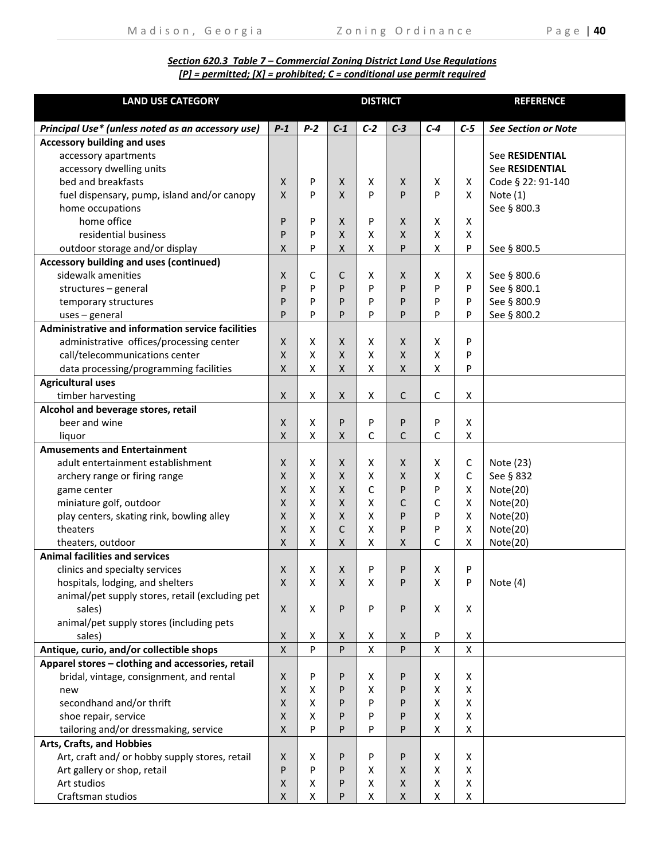# *Section 620.3 Table 7 – Commercial Zoning District Land Use Regulations [P] = permitted; [X] = prohibited; C = conditional use permit required*

| <b>LAND USE CATEGORY</b>                          | <b>DISTRICT</b>    |                           |              |              |              |       |       | <b>REFERENCE</b>           |
|---------------------------------------------------|--------------------|---------------------------|--------------|--------------|--------------|-------|-------|----------------------------|
|                                                   |                    |                           |              |              |              |       |       |                            |
| Principal Use* (unless noted as an accessory use) | $P-1$              | $P-2$                     | $C-1$        | $C-2$        | $C-3$        | $C-4$ | $C-5$ | <b>See Section or Note</b> |
| <b>Accessory building and uses</b>                |                    |                           |              |              |              |       |       |                            |
| accessory apartments                              |                    |                           |              |              |              |       |       | See RESIDENTIAL            |
| accessory dwelling units                          |                    |                           |              |              |              |       |       | <b>See RESIDENTIAL</b>     |
| bed and breakfasts                                | X                  | P                         | X            | X            | X            | X     | X     | Code § 22: 91-140          |
| fuel dispensary, pump, island and/or canopy       | X                  | P                         | $\mathsf{X}$ | P            | P            | P     | X     | Note $(1)$                 |
| home occupations                                  |                    |                           |              |              |              |       |       | See § 800.3                |
| home office                                       | P                  | P                         | X            | P            | X            | X     | Χ     |                            |
| residential business                              | P                  | P                         | $\mathsf{X}$ | x            | $\mathsf{X}$ | X     | X     |                            |
| outdoor storage and/or display                    | X                  | P                         | $\mathsf{X}$ | X            | P            | X     | P     | See § 800.5                |
| Accessory building and uses (continued)           |                    |                           |              |              |              |       |       |                            |
| sidewalk amenities                                | X                  | C                         | С            | X            | X            | X     | X     | See § 800.6                |
| structures - general                              | P                  | P                         | P            | P            | P            | P     | P     | See § 800.1                |
| temporary structures                              | P                  | P                         | P            | P            | P            | P     | P     | See § 800.9                |
| $uses$ – general                                  | P                  | P                         | P            | P            | P            | P     | P     | See § 800.2                |
| Administrative and information service facilities |                    |                           |              |              |              |       |       |                            |
| administrative offices/processing center          | $\mathsf{X}$       | X                         | X            | x            | X            | X     | P     |                            |
| call/telecommunications center                    | X                  | $\boldsymbol{\mathsf{X}}$ | $\mathsf{X}$ | X            | X            | X     | P     |                            |
| data processing/programming facilities            | Χ                  | X                         | X            | X            | X            | X     | P     |                            |
| Agricultural uses                                 |                    |                           |              |              |              |       |       |                            |
| timber harvesting                                 | X                  | Х                         | X            | X            | $\mathsf{C}$ | C     | Χ     |                            |
| Alcohol and beverage stores, retail               |                    |                           |              |              |              |       |       |                            |
| beer and wine                                     | X                  | X                         | P            | P            | P            | P     | X     |                            |
| liquor                                            | X                  | X                         | X            | C            | C            | C     | X     |                            |
| <b>Amusements and Entertainment</b>               |                    |                           |              |              |              |       |       |                            |
| adult entertainment establishment                 | $\mathsf{X}$       | X                         | X            | X            | X            | X     | C     | Note (23)                  |
| archery range or firing range                     | X                  | X                         | $\mathsf{X}$ | X            | $\mathsf{X}$ | X     | C     | See § 832                  |
| game center                                       | X                  | X                         | $\mathsf{X}$ | C            | P            | P     | X     | Note(20)                   |
| miniature golf, outdoor                           | X                  | X                         | $\mathsf{X}$ | X            | C            | C     | X     | Note(20)                   |
| play centers, skating rink, bowling alley         | X                  | X                         | $\mathsf{X}$ | X            | P            | P     | X     | Note(20)                   |
| theaters                                          | X                  | X                         | C            | X            | P            | P     | X     | Note(20)                   |
| theaters, outdoor                                 | X                  | X                         | $\mathsf{X}$ | X            | X            | C     | X     | Note(20)                   |
| <b>Animal facilities and services</b>             |                    |                           |              |              |              |       |       |                            |
| clinics and specialty services                    | X                  | X                         | X            | P            | P            | X     | P     |                            |
| hospitals, lodging, and shelters                  | X                  | x                         | X            | х            | P            | x     | P     | Note (4)                   |
| animal/pet supply stores, retail (excluding pet   |                    |                           |              |              |              |       |       |                            |
| sales)                                            | $\mathsf{X}$       | X                         | P            | P            | P            | X     | X     |                            |
| animal/pet supply stores (including pets          |                    |                           |              |              |              |       |       |                            |
| sales)                                            | X                  | Χ                         | X            | x            | X            | P     | Χ     |                            |
| Antique, curio, and/or collectible shops          | Χ                  | P                         | P            | $\mathsf{X}$ | P            | X     | X     |                            |
| Apparel stores - clothing and accessories, retail |                    |                           |              |              |              |       |       |                            |
| bridal, vintage, consignment, and rental          | X                  | P                         | P            | х            | P            | Х     | Χ     |                            |
| new                                               | Χ                  | X                         | P            | х            | P            | X     | X     |                            |
| secondhand and/or thrift                          | Χ                  | X                         | P            | P            | P            | X     | X     |                            |
| shoe repair, service                              | X                  | X                         | P            | P            | P            | X     | X     |                            |
| tailoring and/or dressmaking, service             | X                  | P                         | P            | P            | P            | X     | X     |                            |
| Arts, Crafts, and Hobbies                         |                    |                           |              |              |              |       |       |                            |
| Art, craft and/ or hobby supply stores, retail    | X                  | Χ                         | P            | P            | P            | Х     | Χ     |                            |
| Art gallery or shop, retail                       | P                  | P                         | P            | Χ            | X            | X     | X     |                            |
| Art studios                                       | $\pmb{\mathsf{X}}$ | х                         | P            | X            | X            | X     | X     |                            |
| Craftsman studios                                 | Χ                  | X                         | P            | X            | X            | X     | X     |                            |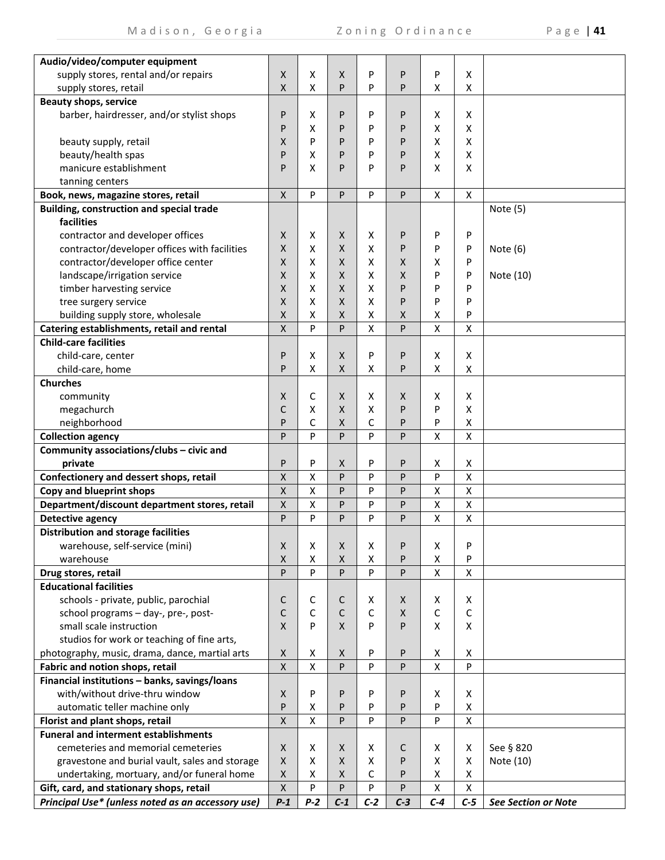|  |  |  |  | 41 |
|--|--|--|--|----|
|--|--|--|--|----|

| Audio/video/computer equipment                                             |                         |        |                              |                    |              |                    |                    |                            |
|----------------------------------------------------------------------------|-------------------------|--------|------------------------------|--------------------|--------------|--------------------|--------------------|----------------------------|
| supply stores, rental and/or repairs                                       | X                       | х      | X                            | P                  | P            | P                  | X                  |                            |
| supply stores, retail                                                      | Χ                       | X      | P                            | P                  | P            | X                  | X                  |                            |
| <b>Beauty shops, service</b>                                               |                         |        |                              |                    |              |                    |                    |                            |
| barber, hairdresser, and/or stylist shops                                  | P                       | х      | P                            | P                  | P            | X                  | X                  |                            |
|                                                                            | P                       | x      | P                            | P                  | P            | X                  | X                  |                            |
| beauty supply, retail                                                      | Χ                       | P      | P                            | P                  | P            | X                  | X                  |                            |
| beauty/health spas                                                         | P                       | Χ      | P                            | P                  | P            | X                  | X                  |                            |
| manicure establishment                                                     | P                       | x      | P                            | P                  | P            | X                  | X                  |                            |
| tanning centers                                                            |                         |        |                              |                    |              |                    |                    |                            |
| Book, news, magazine stores, retail                                        | X                       | P      | P                            | P                  | P            | X                  | X                  |                            |
| <b>Building, construction and special trade</b>                            |                         |        |                              |                    |              |                    |                    | Note (5)                   |
| facilities                                                                 |                         |        |                              |                    |              |                    |                    |                            |
| contractor and developer offices                                           | X                       | х      | X                            | X                  | P            | P                  | P                  |                            |
| contractor/developer offices with facilities                               | X                       | x      | $\mathsf{X}$                 | X                  | P            | P                  | P                  | Note $(6)$                 |
| contractor/developer office center                                         | X                       | х      | X                            | X                  | X            | X                  | P                  |                            |
| landscape/irrigation service                                               | X                       | x      | X                            | х                  | X            | P                  | P                  | Note (10)                  |
| timber harvesting service                                                  | X                       | x      | X                            | х                  | P            | P                  | P                  |                            |
| tree surgery service                                                       | X                       | x      | X                            | X                  | P            | P                  | P                  |                            |
| building supply store, wholesale                                           | X                       | x      | X                            | X                  | X            | х                  | P                  |                            |
|                                                                            | Χ                       | P      | P                            | $\pmb{\mathsf{X}}$ | ${\sf P}$    | $\mathsf{\chi}$    | $\pmb{\mathsf{X}}$ |                            |
| Catering establishments, retail and rental<br><b>Child-care facilities</b> |                         |        |                              |                    |              |                    |                    |                            |
|                                                                            |                         |        |                              |                    |              |                    |                    |                            |
| child-care, center                                                         | P<br>P                  | х<br>X | $\mathsf{X}$<br>$\mathsf{X}$ | P<br>X             | P<br>P       | X<br>X             | X<br>X             |                            |
| child-care, home                                                           |                         |        |                              |                    |              |                    |                    |                            |
| <b>Churches</b>                                                            |                         |        |                              |                    |              |                    |                    |                            |
| community                                                                  | X                       | С      | X                            | X                  | X            | Х                  | X                  |                            |
| megachurch                                                                 | С                       | X      | $\mathsf{X}$                 | Χ                  | P            | P                  | X                  |                            |
| neighborhood                                                               | P                       | C      | $\mathsf{X}$                 | С                  | P            | P                  | X                  |                            |
| <b>Collection agency</b>                                                   | P                       | P      | P                            | P                  | P            | $\mathsf{x}$       | $\pmb{\mathsf{X}}$ |                            |
| Community associations/clubs - civic and                                   |                         | P      |                              |                    |              |                    |                    |                            |
| private<br>Confectionery and dessert shops, retail                         | P                       | X      | X<br>P                       | P<br>P             | P<br>P       | X<br>P             | X<br>X             |                            |
| Copy and blueprint shops                                                   | Χ<br>$\pmb{\mathsf{X}}$ | X      | P                            | P                  | P            | $\pmb{\mathsf{X}}$ | $\mathsf{X}$       |                            |
| Department/discount department stores, retail                              |                         | X      | P                            | P                  | P            | $\pmb{\mathsf{X}}$ | X                  |                            |
|                                                                            | Χ<br>P                  | P      | P                            |                    |              |                    |                    |                            |
| Detective agency                                                           |                         |        |                              | P                  | $\mathsf{P}$ | $\pmb{\mathsf{X}}$ | X                  |                            |
| <b>Distribution and storage facilities</b>                                 |                         |        |                              |                    |              |                    |                    |                            |
| warehouse, self-service (mini)                                             | X                       | х      | $\mathsf X$                  | х                  | P            | X                  | P                  |                            |
| warehouse                                                                  | Χ                       | Χ      | $\mathsf X$                  | Χ                  | P            | X                  | P                  |                            |
| Drug stores, retail                                                        | P                       | P      | P                            | P                  | P            | $\pmb{\mathsf{X}}$ | $\mathsf{X}$       |                            |
| <b>Educational facilities</b>                                              |                         |        |                              |                    |              |                    |                    |                            |
| schools - private, public, parochial                                       | С                       | С      | С                            | X                  | X            | X                  | X                  |                            |
| school programs - day-, pre-, post-                                        | C                       | C      | С                            | $\mathsf C$        | X            | $\mathsf{C}$       | $\mathsf C$        |                            |
| small scale instruction                                                    | X                       | P      | $\mathsf{X}$                 | P                  | P            | X                  | X                  |                            |
| studios for work or teaching of fine arts,                                 |                         |        |                              |                    |              |                    |                    |                            |
| photography, music, drama, dance, martial arts                             | X                       | х      | X                            | P                  | P            | X                  | Χ                  |                            |
| Fabric and notion shops, retail                                            | $\pmb{\mathsf{X}}$      | X      | P                            | P                  | P            | X                  | P                  |                            |
| Financial institutions - banks, savings/loans                              |                         |        |                              |                    |              |                    |                    |                            |
| with/without drive-thru window                                             | X                       | P      | P                            | P                  | P            | Х                  | Χ                  |                            |
| automatic teller machine only                                              | P                       | Χ      | P                            | P                  | P            | P                  | X                  |                            |
| Florist and plant shops, retail                                            | $\mathsf{X}$            | X      | P                            | P                  | P            | P                  | X                  |                            |
| <b>Funeral and interment establishments</b>                                |                         |        |                              |                    |              |                    |                    |                            |
| cemeteries and memorial cemeteries                                         | X                       | Χ      | X                            | x                  | C            | Χ                  | Χ                  | See § 820                  |
| gravestone and burial vault, sales and storage                             | X                       | x      | X                            | X                  | P            | X                  | Χ                  | Note (10)                  |
| undertaking, mortuary, and/or funeral home                                 | X                       | x      | X                            | C                  | P            | X                  | Χ                  |                            |
| Gift, card, and stationary shops, retail                                   | $\pmb{\mathsf{X}}$      | P      | P                            | P                  | P            | $\pmb{\mathsf{X}}$ | X                  |                            |
| Principal Use* (unless noted as an accessory use)                          | $P-1$                   | $P-2$  | $C-1$                        | $C-2$              | $C-3$        | $C-4$              | $C-5$              | <b>See Section or Note</b> |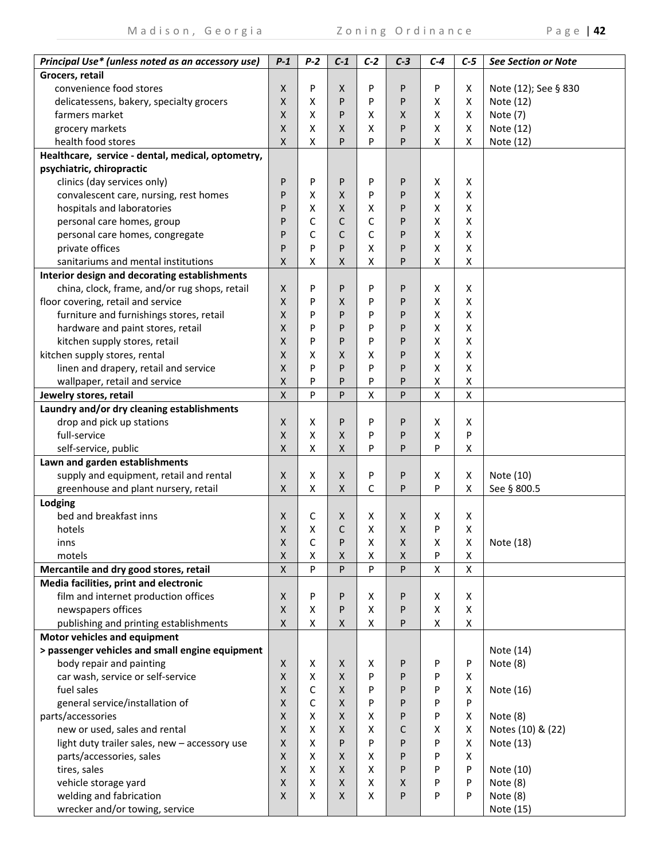Madison, Georgia Zoning Ordinance Page | **42**

| Principal Use* (unless noted as an accessory use) | $P-1$        | $P-2$ | $C-1$              | $C-2$              | $C-3$              | $C-4$        | $C-5$          | <b>See Section or Note</b> |
|---------------------------------------------------|--------------|-------|--------------------|--------------------|--------------------|--------------|----------------|----------------------------|
| Grocers, retail                                   |              |       |                    |                    |                    |              |                |                            |
| convenience food stores                           | $\mathsf{X}$ | P     | X                  | P                  | P                  | P            | X              | Note (12); See § 830       |
| delicatessens, bakery, specialty grocers          | Χ            | Χ     | P                  | P                  | P                  | X            | X              | Note (12)                  |
| farmers market                                    | Χ            | X     | P                  | х                  | X                  | X            | X              | Note (7)                   |
| grocery markets                                   | Χ            | X     | X                  | х                  | P                  | X            | X              | Note (12)                  |
| health food stores                                | X            | X     | P                  | P                  | P                  | X            | X              | Note (12)                  |
| Healthcare, service - dental, medical, optometry, |              |       |                    |                    |                    |              |                |                            |
| psychiatric, chiropractic                         |              |       |                    |                    |                    |              |                |                            |
| clinics (day services only)                       | P            | P     | P                  | P                  | P                  | X            | X              |                            |
| convalescent care, nursing, rest homes            | P            | X     | $\mathsf{X}$       | P                  | P                  | X            | X              |                            |
| hospitals and laboratories                        | P            | Χ     | X                  | X                  | P                  | X            | X              |                            |
| personal care homes, group                        | P            | C     | С                  | C                  | P                  | X            | X              |                            |
| personal care homes, congregate                   | P            | C     | С                  | C                  | P                  | x            | X              |                            |
| private offices                                   | P            | P     | P                  | х                  | P                  | X            | X              |                            |
| sanitariums and mental institutions               | X            | x     | X                  | X                  | P                  | Х            | X              |                            |
| Interior design and decorating establishments     |              |       |                    |                    |                    |              |                |                            |
| china, clock, frame, and/or rug shops, retail     | X            | P     | P                  | P                  | P                  | X            | X              |                            |
| floor covering, retail and service                | X            | P     | X                  | P                  | P                  | X            | X              |                            |
| furniture and furnishings stores, retail          | X            | P     | P                  | P                  | P                  | X            | X              |                            |
| hardware and paint stores, retail                 | X            | P     | P                  | P                  | P                  | X            | X              |                            |
| kitchen supply stores, retail                     | X            | P     | P                  | P                  | P                  | X            | X              |                            |
| kitchen supply stores, rental                     | X            | Χ     | X                  | х                  | P                  | X            | X              |                            |
| linen and drapery, retail and service             | X            | P     | P                  | P                  | P                  | X            | X              |                            |
| wallpaper, retail and service                     | X            | P     | P                  | P                  | P                  | X            | X              |                            |
| Jewelry stores, retail                            | X            | P     | P                  | $\mathsf{X}$       | P                  | $\mathsf{x}$ | $\pmb{\times}$ |                            |
| Laundry and/or dry cleaning establishments        |              |       |                    |                    |                    |              |                |                            |
| drop and pick up stations                         | X            | x     | P                  | P                  | P                  | X            | X              |                            |
| full-service                                      | Χ            | X     | X                  | P                  | P                  | X            | P              |                            |
| self-service, public                              | Χ            | X     | X                  | P                  | P                  | P            | X              |                            |
| Lawn and garden establishments                    |              |       |                    |                    |                    |              |                |                            |
| supply and equipment, retail and rental           | X            | X     | X                  | P                  | P                  | Х            | X              | Note (10)                  |
| greenhouse and plant nursery, retail              | Χ            | Χ     | X                  | С                  | P                  | P            | X              | See § 800.5                |
| Lodging                                           |              |       |                    |                    |                    |              |                |                            |
| bed and breakfast inns                            | Χ            | С     | X                  | Х                  | X                  | x            | Χ              |                            |
| hotels                                            | Χ            | Χ     | С                  | Χ                  | X                  | P            | X              |                            |
| inns                                              | X            | С     | P                  | х                  | X                  | х            | X              | Note (18)                  |
| motels                                            | Χ            | Χ     | $\pmb{\mathsf{X}}$ | Χ                  | $\pmb{\mathsf{X}}$ | P            | X              |                            |
| Mercantile and dry good stores, retail            | X            | P     | P                  | P                  | P                  | $\mathsf{x}$ | $\pmb{\times}$ |                            |
| Media facilities, print and electronic            |              |       |                    |                    |                    |              |                |                            |
| film and internet production offices              | X            | P     | P                  | Χ                  | P                  | X            | X              |                            |
| newspapers offices                                | Χ            | x     | P                  | $\pmb{\mathsf{X}}$ | P                  | X            | X              |                            |
| publishing and printing establishments            | Χ            | X     | X                  | $\pmb{\mathsf{X}}$ | P                  | X            | X              |                            |
| Motor vehicles and equipment                      |              |       |                    |                    |                    |              |                |                            |
| > passenger vehicles and small engine equipment   |              |       |                    |                    |                    |              |                | Note (14)                  |
| body repair and painting                          | X            | x     | X                  | Х                  | P                  | P            | P              | Note (8)                   |
| car wash, service or self-service                 | Χ            | X     | X                  | P                  | P                  | P            | X              |                            |
| fuel sales                                        | Χ            | C     | X                  | P                  | P                  | P            | X              | Note (16)                  |
| general service/installation of                   | X            | C     | $\mathsf{X}$       | P                  | P                  | P            | P              |                            |
| parts/accessories                                 | X            | X     | $\mathsf{X}$       | X                  | P                  | P            | X              | Note (8)                   |
| new or used, sales and rental                     | X            | X     | X                  | х                  | С                  | х            | Χ              | Notes (10) & (22)          |
| light duty trailer sales, new - accessory use     | X            | X     | P                  | P                  | P                  | P            | X              | Note (13)                  |
| parts/accessories, sales                          | X            | x     | X                  | х                  | P                  | P            | Χ              |                            |
| tires, sales                                      | X            | x     | X                  | X                  | P                  | P            | P              | Note (10)                  |
| vehicle storage yard                              | X            | X     | X                  | X                  | X                  | P            | P              | Note (8)                   |
| welding and fabrication                           | X            | X     | X                  | Χ                  | P                  | P            | P              | Note $(8)$                 |
| wrecker and/or towing, service                    |              |       |                    |                    |                    |              |                | Note (15)                  |
|                                                   |              |       |                    |                    |                    |              |                |                            |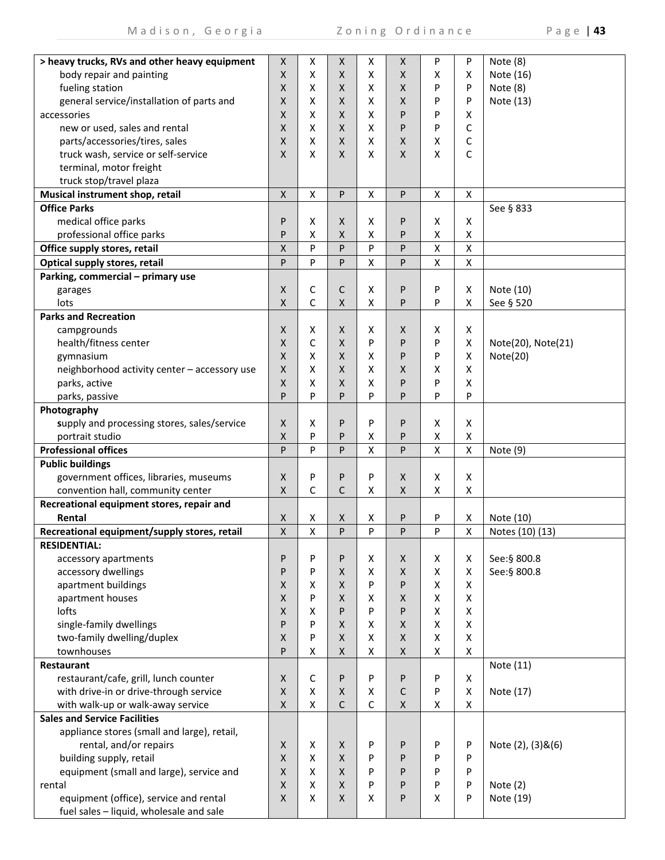| > heavy trucks, RVs and other heavy equipment                               | X                         | х                  | X            | Χ                  | Χ                  | P                  | P                  | Note (8)           |
|-----------------------------------------------------------------------------|---------------------------|--------------------|--------------|--------------------|--------------------|--------------------|--------------------|--------------------|
| body repair and painting                                                    | X                         | X                  | X            | Χ                  | Χ                  | x                  | х                  | Note (16)          |
| fueling station                                                             | X                         | Χ                  | X            | Χ                  | Χ                  | P                  | P                  | Note (8)           |
| general service/installation of parts and                                   | X                         | x                  | X            | Χ                  | Χ                  | P                  | P                  | Note (13)          |
| accessories                                                                 | X                         | X                  | X.           | х                  | P                  | P                  | x                  |                    |
| new or used, sales and rental                                               | X                         | X                  | X.           | х                  | P                  | P                  | С                  |                    |
| parts/accessories/tires, sales                                              | X                         | X                  | X            | х                  | Χ                  | x                  | С                  |                    |
| truck wash, service or self-service                                         | X                         | X                  | X            | X                  | X                  | X                  | C                  |                    |
| terminal, motor freight                                                     |                           |                    |              |                    |                    |                    |                    |                    |
| truck stop/travel plaza                                                     |                           |                    |              |                    |                    |                    |                    |                    |
| Musical instrument shop, retail                                             | $\mathsf{X}$              | $\pmb{\mathsf{X}}$ | P            | $\pmb{\mathsf{X}}$ | P                  | $\pmb{\mathsf{X}}$ | $\pmb{\times}$     |                    |
| <b>Office Parks</b>                                                         |                           |                    |              |                    |                    |                    |                    | See § 833          |
| medical office parks                                                        | P                         | Χ                  | X            | X                  | P                  | X                  | Χ                  |                    |
| professional office parks                                                   | P                         | X                  | X            | Χ                  | P                  | Χ                  | X                  |                    |
| Office supply stores, retail                                                | X                         | P                  | P            | P                  | P                  | X                  | Χ                  |                    |
| Optical supply stores, retail                                               | P                         | P                  | P            | X                  | P                  | Χ                  | $\pmb{\mathsf{X}}$ |                    |
| Parking, commercial - primary use                                           |                           |                    |              |                    |                    |                    |                    |                    |
| garages                                                                     | $\boldsymbol{\mathsf{X}}$ | С                  | C            | X                  | P                  | P                  | X                  | Note (10)          |
| lots                                                                        | X                         | C                  | X            | X                  | P                  | P                  | x                  | See § 520          |
| <b>Parks and Recreation</b>                                                 |                           |                    |              |                    |                    |                    |                    |                    |
| campgrounds                                                                 | X                         | х                  | X            | Χ                  | x                  | х                  | Χ                  |                    |
| health/fitness center                                                       | X                         | C                  | X            | P                  | P                  | P                  | Χ                  | Note(20), Note(21) |
| gymnasium                                                                   | X                         | X                  | X            | х                  | P                  | P                  | X                  | Note(20)           |
| neighborhood activity center - accessory use                                | X                         | X                  | X            | Χ                  | Χ                  | x                  | x                  |                    |
| parks, active                                                               | X                         | X                  | X            | Χ                  | P                  | P                  | X                  |                    |
| parks, passive                                                              | P                         | P                  | P            | P                  | P                  | P                  | P                  |                    |
| Photography                                                                 |                           |                    |              |                    |                    |                    |                    |                    |
| supply and processing stores, sales/service                                 | X                         | Χ                  | P            | P                  | P                  | X                  | X                  |                    |
| portrait studio                                                             | Χ                         | P                  | P            | Χ                  | P                  | Χ                  | Χ                  |                    |
| <b>Professional offices</b>                                                 | P                         | P                  | P            | Χ                  | P                  | X                  | X                  | Note (9)           |
| <b>Public buildings</b>                                                     |                           |                    |              |                    |                    |                    |                    |                    |
| government offices, libraries, museums<br>convention hall, community center | X                         | P<br>C             | P<br>C       | P                  | X                  | x                  | X                  |                    |
|                                                                             | X                         |                    |              | X                  | Χ                  | Χ                  | Χ                  |                    |
| Recreational equipment stores, repair and<br>Rental                         | X                         | X                  | X            | х                  | P                  | P                  | Χ                  | Note (10)          |
| Recreational equipment/supply stores, retail                                | X                         | X                  | P            | P                  | P                  | P                  | x                  | Notes (10) (13)    |
| <b>RESIDENTIAL:</b>                                                         |                           |                    |              |                    |                    |                    |                    |                    |
| accessory apartments                                                        | P                         | P                  | P            | х                  | Χ                  | X                  | X                  | See:§ 800.8        |
| accessory dwellings                                                         | P                         | P                  | X            | X                  | X                  | x                  | X                  | See: § 800.8       |
| apartment buildings                                                         | X                         | X                  | X            | P                  | P                  | X                  | X                  |                    |
| apartment houses                                                            | X                         | P                  | X            | Χ                  | X                  | X                  | X                  |                    |
| lofts                                                                       | X                         | X                  | P            | P                  | P                  | X                  | X                  |                    |
| single-family dwellings                                                     | P                         | P                  | X            | Χ                  | X                  | X                  | X                  |                    |
| two-family dwelling/duplex                                                  | X                         | P                  | X            | Χ                  | Χ                  | X                  | Χ                  |                    |
| townhouses                                                                  | P                         | X                  | X            | x                  | $\pmb{\mathsf{X}}$ | X                  | Χ                  |                    |
| <b>Restaurant</b>                                                           |                           |                    |              |                    |                    |                    |                    | Note (11)          |
| restaurant/cafe, grill, lunch counter                                       | X                         | C                  | P            | P                  | P                  | P                  | X                  |                    |
| with drive-in or drive-through service                                      | X                         | X                  | X            | Χ                  | C                  | P                  | X                  | Note (17)          |
| with walk-up or walk-away service                                           | X                         | X                  | $\mathsf{C}$ | C                  | Χ                  | X                  | X                  |                    |
| <b>Sales and Service Facilities</b>                                         |                           |                    |              |                    |                    |                    |                    |                    |
| appliance stores (small and large), retail,                                 |                           |                    |              |                    |                    |                    |                    |                    |
| rental, and/or repairs                                                      | X                         | X                  | $\mathsf{X}$ | P                  | P                  | P                  | P                  | Note (2), (3)&(6)  |
| building supply, retail                                                     | X                         | X                  | X            | P                  | P                  | P                  | P                  |                    |
| equipment (small and large), service and                                    | $\mathsf{X}$              | X                  | X            | P                  | P                  | P                  | P                  |                    |
| rental                                                                      | $\mathsf{X}$              | X                  | X            | P                  | P                  | P                  | P                  | Note $(2)$         |
| equipment (office), service and rental                                      | X                         | X                  | X            | x                  | P                  | X                  | P                  | Note (19)          |
| fuel sales - liquid, wholesale and sale                                     |                           |                    |              |                    |                    |                    |                    |                    |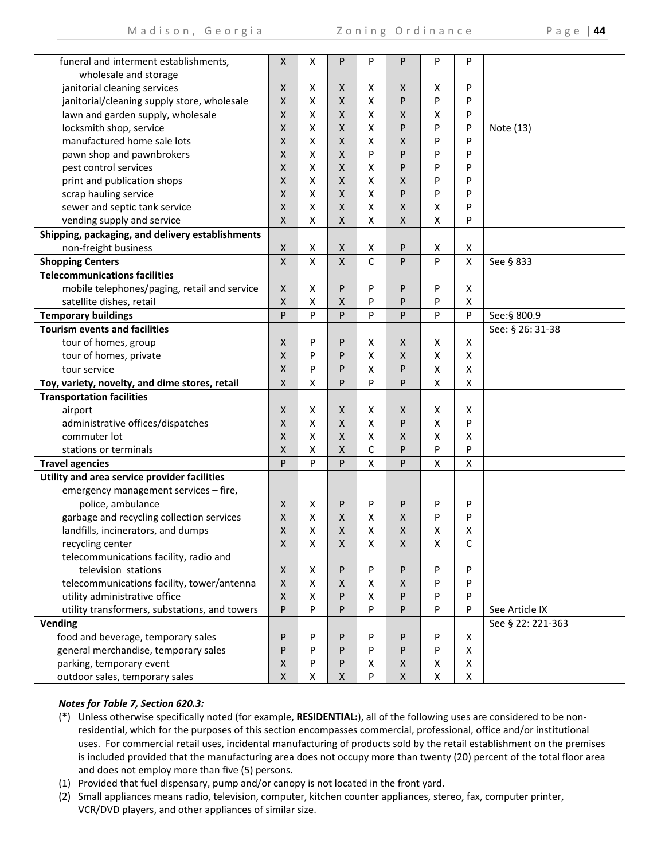| funeral and interment establishments,            | X                  | X                  | P                  | P                  | P | P                  | P                       |                   |
|--------------------------------------------------|--------------------|--------------------|--------------------|--------------------|---|--------------------|-------------------------|-------------------|
| wholesale and storage                            |                    |                    |                    |                    |   |                    |                         |                   |
| janitorial cleaning services                     | X                  | X                  | X                  | х                  | X | X                  | P                       |                   |
| janitorial/cleaning supply store, wholesale      | $\mathsf{X}$       | Χ                  | $\pmb{\mathsf{X}}$ | x                  | P | P                  | P                       |                   |
| lawn and garden supply, wholesale                | $\mathsf{X}$       | Χ                  | $\pmb{\mathsf{X}}$ | Χ                  | X | Χ                  | P                       |                   |
| locksmith shop, service                          | $\mathsf{X}$       | Χ                  | $\pmb{\mathsf{X}}$ | x                  | P | P                  | P                       | Note (13)         |
| manufactured home sale lots                      | $\mathsf{X}$       | X                  | $\pmb{\mathsf{X}}$ | X                  | X | P                  | P                       |                   |
| pawn shop and pawnbrokers                        | X                  | X                  | $\pmb{\mathsf{X}}$ | P                  | P | P                  | P                       |                   |
| pest control services                            | $\mathsf{X}$       | X                  | X                  | Χ                  | P | P                  | P                       |                   |
| print and publication shops                      | X                  | X                  | $\pmb{\mathsf{X}}$ | x                  | X | P                  | P                       |                   |
| scrap hauling service                            | $\mathsf{X}$       | Χ                  | $\pmb{\mathsf{X}}$ | x                  | P | P                  | P                       |                   |
| sewer and septic tank service                    | $\mathsf{X}$       | Χ                  | $\pmb{\mathsf{X}}$ | x                  | X | X                  | P                       |                   |
| vending supply and service                       | X                  | Χ                  | $\pmb{\mathsf{X}}$ | Χ                  | X | $\pmb{\mathsf{X}}$ | P                       |                   |
| Shipping, packaging, and delivery establishments |                    |                    |                    |                    |   |                    |                         |                   |
| non-freight business                             | $\mathsf X$        | Χ                  | $\pmb{\mathsf{X}}$ | Χ                  | P | $\pmb{\mathsf{X}}$ | Χ                       |                   |
| <b>Shopping Centers</b>                          | $\overline{X}$     | $\pmb{\mathsf{X}}$ | $\pmb{\mathsf{X}}$ | $\mathsf{C}$       | P | P                  | $\mathsf{\overline{X}}$ | See § 833         |
| <b>Telecommunications facilities</b>             |                    |                    |                    |                    |   |                    |                         |                   |
| mobile telephones/paging, retail and service     | X                  | X                  | P                  | P                  | P | P                  | $\pmb{\mathsf{X}}$      |                   |
| satellite dishes, retail                         | $\pmb{\mathsf{X}}$ | Χ                  | $\pmb{\mathsf{X}}$ | P                  | P | P                  | $\pmb{\mathsf{X}}$      |                   |
| <b>Temporary buildings</b>                       | P                  | $\mathsf{P}$       | P                  | P                  | P | P                  | P                       | See:§ 800.9       |
| <b>Tourism events and facilities</b>             |                    |                    |                    |                    |   |                    |                         | See: § 26: 31-38  |
| tour of homes, group                             | $\mathsf{X}$       | P                  | P                  | x                  | X | $\pmb{\mathsf{X}}$ | X                       |                   |
| tour of homes, private                           | X                  | P                  | P                  | x                  | X | $\pmb{\mathsf{X}}$ | Χ                       |                   |
| tour service                                     | X                  | P                  | P                  | x                  | P | $\pmb{\mathsf{X}}$ | Χ                       |                   |
| Toy, variety, novelty, and dime stores, retail   | $\mathsf X$        | X                  | P                  | P                  | P | $\pmb{\mathsf{X}}$ | $\pmb{\mathsf{X}}$      |                   |
| <b>Transportation facilities</b>                 |                    |                    |                    |                    |   |                    |                         |                   |
| airport                                          | X                  | Χ                  | X                  | х                  | x | Χ                  | Χ                       |                   |
| administrative offices/dispatches                | X                  | X                  | $\pmb{\mathsf{X}}$ | Χ                  | P | $\pmb{\mathsf{X}}$ | P                       |                   |
| commuter lot                                     | $\mathsf{X}$       | X                  | $\pmb{\mathsf{X}}$ | Χ                  | X | $\pmb{\mathsf{X}}$ | X                       |                   |
| stations or terminals                            | X                  | $\pmb{\mathsf{X}}$ | $\pmb{\mathsf{X}}$ | C                  | P | P                  | P                       |                   |
| <b>Travel agencies</b>                           | P                  | $\mathsf{P}$       | P                  | $\pmb{\mathsf{X}}$ | P | $\mathsf{\chi}$    | $\pmb{\mathsf{X}}$      |                   |
| Utility and area service provider facilities     |                    |                    |                    |                    |   |                    |                         |                   |
| emergency management services - fire,            |                    |                    |                    |                    |   |                    |                         |                   |
| police, ambulance                                | $\mathsf{X}$       | X                  | ${\sf P}$          | P                  | P | P                  | P                       |                   |
| garbage and recycling collection services        | $\pmb{\mathsf{X}}$ | Χ                  | Χ                  | х                  | Χ | P                  | P                       |                   |
| landfills, incinerators, and dumps               | $\pmb{\mathsf{X}}$ | Χ                  | Χ                  | x                  | Χ | Χ                  | X                       |                   |
| recycling center                                 | X                  | X                  | $\pmb{\mathsf{X}}$ | x                  | X | $\pmb{\mathsf{X}}$ | C                       |                   |
| telecommunications facility, radio and           |                    |                    |                    |                    |   |                    |                         |                   |
| television stations                              | X                  | Χ                  | P                  | P                  | P | P                  | P                       |                   |
|                                                  |                    |                    |                    |                    |   |                    |                         |                   |
| telecommunications facility, tower/antenna       | X                  | Χ                  | $\pmb{\mathsf{X}}$ | X                  | Χ | P                  | P                       |                   |
| utility administrative office                    | X                  | Χ                  | P                  | Χ                  | P | P                  | P                       |                   |
| utility transformers, substations, and towers    | P                  | P                  | P                  | P                  | P | P                  | P                       | See Article IX    |
| Vending                                          |                    |                    |                    |                    |   |                    |                         | See § 22: 221-363 |
| food and beverage, temporary sales               | P                  | P                  | P                  | P                  | P | P                  | X                       |                   |
| general merchandise, temporary sales             | P                  | P                  | P                  | P                  | P | P                  | X                       |                   |
| parking, temporary event                         | X                  | P                  | P                  | Χ                  | X | $\pmb{\mathsf{X}}$ | $\pmb{\mathsf{X}}$      |                   |

# *Notes for Table 7, Section 620.3:*

outdoor sales, temporary sales

(\*) Unless otherwise specifically noted (for example, **RESIDENTIAL:**), all of the following uses are considered to be non‐ residential, which for the purposes of this section encompasses commercial, professional, office and/or institutional uses. For commercial retail uses, incidental manufacturing of products sold by the retail establishment on the premises is included provided that the manufacturing area does not occupy more than twenty (20) percent of the total floor area and does not employ more than five (5) persons.

X

P

X

X

X

(1) Provided that fuel dispensary, pump and/or canopy is not located in the front yard.

X

(2) Small appliances means radio, television, computer, kitchen counter appliances, stereo, fax, computer printer, VCR/DVD players, and other appliances of similar size.

X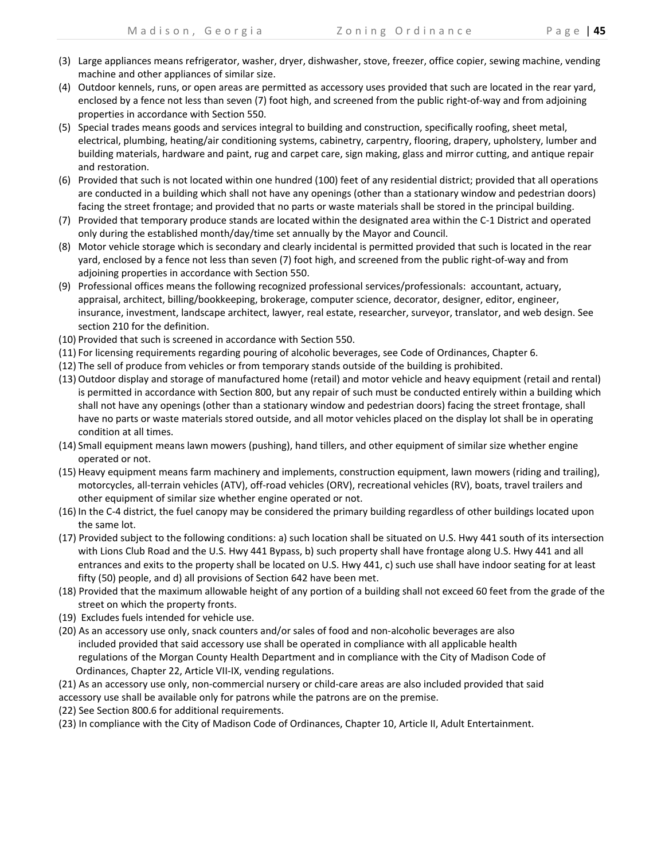- (3) Large appliances means refrigerator, washer, dryer, dishwasher, stove, freezer, office copier, sewing machine, vending machine and other appliances of similar size.
- (4) Outdoor kennels, runs, or open areas are permitted as accessory uses provided that such are located in the rear yard, enclosed by a fence not less than seven (7) foot high, and screened from the public right-of-way and from adjoining properties in accordance with Section 550.
- (5) Special trades means goods and services integral to building and construction, specifically roofing, sheet metal, electrical, plumbing, heating/air conditioning systems, cabinetry, carpentry, flooring, drapery, upholstery, lumber and building materials, hardware and paint, rug and carpet care, sign making, glass and mirror cutting, and antique repair and restoration.
- (6) Provided that such is not located within one hundred (100) feet of any residential district; provided that all operations are conducted in a building which shall not have any openings (other than a stationary window and pedestrian doors) facing the street frontage; and provided that no parts or waste materials shall be stored in the principal building.
- (7) Provided that temporary produce stands are located within the designated area within the C‐1 District and operated only during the established month/day/time set annually by the Mayor and Council.
- (8) Motor vehicle storage which is secondary and clearly incidental is permitted provided that such is located in the rear yard, enclosed by a fence not less than seven (7) foot high, and screened from the public right‐of‐way and from adjoining properties in accordance with Section 550.
- (9) Professional offices means the following recognized professional services/professionals: accountant, actuary, appraisal, architect, billing/bookkeeping, brokerage, computer science, decorator, designer, editor, engineer, insurance, investment, landscape architect, lawyer, real estate, researcher, surveyor, translator, and web design. See section 210 for the definition.
- (10) Provided that such is screened in accordance with Section 550.
- (11) For licensing requirements regarding pouring of alcoholic beverages, see Code of Ordinances, Chapter 6.
- (12) The sell of produce from vehicles or from temporary stands outside of the building is prohibited.
- (13) Outdoor display and storage of manufactured home (retail) and motor vehicle and heavy equipment (retail and rental) is permitted in accordance with Section 800, but any repair of such must be conducted entirely within a building which shall not have any openings (other than a stationary window and pedestrian doors) facing the street frontage, shall have no parts or waste materials stored outside, and all motor vehicles placed on the display lot shall be in operating condition at all times.
- (14) Small equipment means lawn mowers (pushing), hand tillers, and other equipment of similar size whether engine operated or not.
- (15) Heavy equipment means farm machinery and implements, construction equipment, lawn mowers (riding and trailing), motorcycles, all-terrain vehicles (ATV), off-road vehicles (ORV), recreational vehicles (RV), boats, travel trailers and other equipment of similar size whether engine operated or not.
- (16) In the C‐4 district, the fuel canopy may be considered the primary building regardless of other buildings located upon the same lot.
- (17) Provided subject to the following conditions: a) such location shall be situated on U.S. Hwy 441 south of its intersection with Lions Club Road and the U.S. Hwy 441 Bypass, b) such property shall have frontage along U.S. Hwy 441 and all entrances and exits to the property shall be located on U.S. Hwy 441, c) such use shall have indoor seating for at least fifty (50) people, and d) all provisions of Section 642 have been met.
- (18) Provided that the maximum allowable height of any portion of a building shall not exceed 60 feet from the grade of the street on which the property fronts.
- (19) Excludes fuels intended for vehicle use.
- (20) As an accessory use only, snack counters and/or sales of food and non‐alcoholic beverages are also included provided that said accessory use shall be operated in compliance with all applicable health regulations of the Morgan County Health Department and in compliance with the City of Madison Code of Ordinances, Chapter 22, Article VII‐IX, vending regulations.
- (21) As an accessory use only, non‐commercial nursery or child‐care areas are also included provided that said
- accessory use shall be available only for patrons while the patrons are on the premise.
- (22) See Section 800.6 for additional requirements.
- (23) In compliance with the City of Madison Code of Ordinances, Chapter 10, Article II, Adult Entertainment.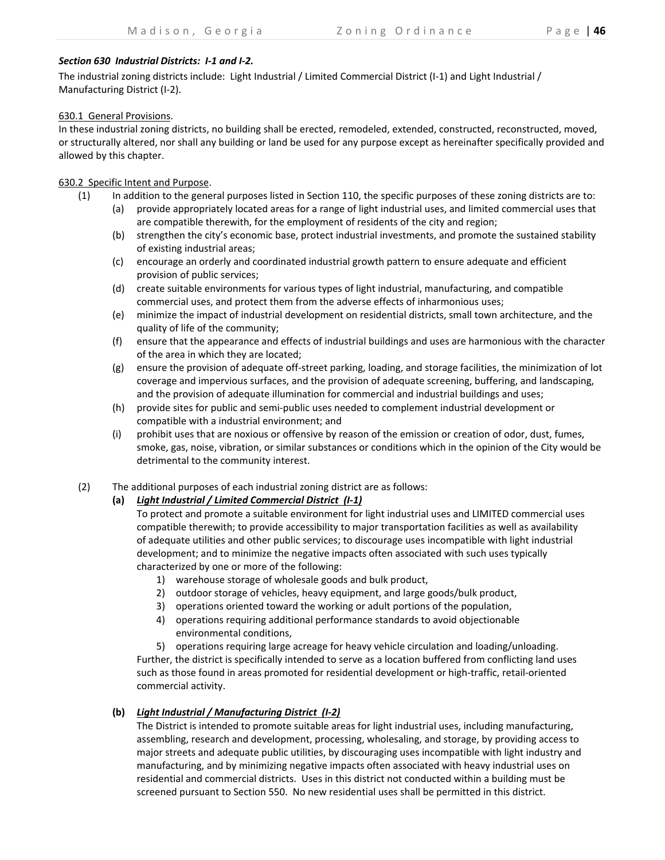# *Section 630 Industrial Districts: I‐1 and I‐2.*

The industrial zoning districts include: Light Industrial / Limited Commercial District (I‐1) and Light Industrial / Manufacturing District (I‐2).

# 630.1 General Provisions.

In these industrial zoning districts, no building shall be erected, remodeled, extended, constructed, reconstructed, moved, or structurally altered, nor shall any building or land be used for any purpose except as hereinafter specifically provided and allowed by this chapter.

# 630.2 Specific Intent and Purpose.

- (1) In addition to the general purposes listed in Section 110, the specific purposes of these zoning districts are to:
	- (a) provide appropriately located areas for a range of light industrial uses, and limited commercial uses that are compatible therewith, for the employment of residents of the city and region;
	- (b) strengthen the city's economic base, protect industrial investments, and promote the sustained stability of existing industrial areas;
	- (c) encourage an orderly and coordinated industrial growth pattern to ensure adequate and efficient provision of public services;
	- (d) create suitable environments for various types of light industrial, manufacturing, and compatible commercial uses, and protect them from the adverse effects of inharmonious uses;
	- (e) minimize the impact of industrial development on residential districts, small town architecture, and the quality of life of the community;
	- (f) ensure that the appearance and effects of industrial buildings and uses are harmonious with the character of the area in which they are located;
	- (g) ensure the provision of adequate off‐street parking, loading, and storage facilities, the minimization of lot coverage and impervious surfaces, and the provision of adequate screening, buffering, and landscaping, and the provision of adequate illumination for commercial and industrial buildings and uses;
	- (h) provide sites for public and semi‐public uses needed to complement industrial development or compatible with a industrial environment; and
	- (i) prohibit uses that are noxious or offensive by reason of the emission or creation of odor, dust, fumes, smoke, gas, noise, vibration, or similar substances or conditions which in the opinion of the City would be detrimental to the community interest.
- (2) The additional purposes of each industrial zoning district are as follows:
	- **(a)** *Light Industrial / Limited Commercial District (I‐1)*

To protect and promote a suitable environment for light industrial uses and LIMITED commercial uses compatible therewith; to provide accessibility to major transportation facilities as well as availability of adequate utilities and other public services; to discourage uses incompatible with light industrial development; and to minimize the negative impacts often associated with such uses typically characterized by one or more of the following:

- 1) warehouse storage of wholesale goods and bulk product,
- 2) outdoor storage of vehicles, heavy equipment, and large goods/bulk product,
- 3) operations oriented toward the working or adult portions of the population,
- 4) operations requiring additional performance standards to avoid objectionable environmental conditions,

5) operations requiring large acreage for heavy vehicle circulation and loading/unloading. Further, the district is specifically intended to serve as a location buffered from conflicting land uses such as those found in areas promoted for residential development or high-traffic, retail-oriented commercial activity.

# **(b)** *Light Industrial / Manufacturing District (I‐2)*

The District is intended to promote suitable areas for light industrial uses, including manufacturing, assembling, research and development, processing, wholesaling, and storage, by providing access to major streets and adequate public utilities, by discouraging uses incompatible with light industry and manufacturing, and by minimizing negative impacts often associated with heavy industrial uses on residential and commercial districts. Uses in this district not conducted within a building must be screened pursuant to Section 550. No new residential uses shall be permitted in this district.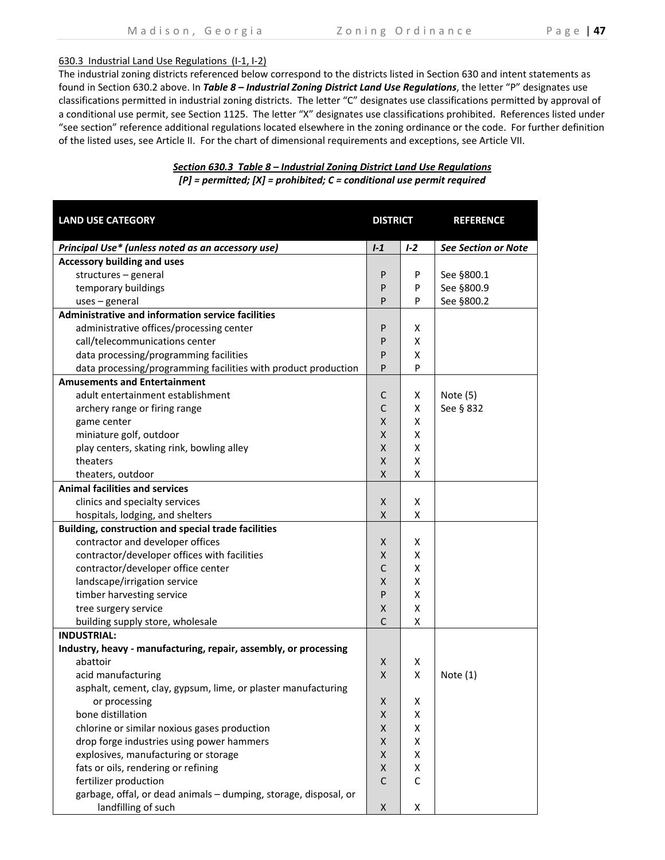### 630.3 Industrial Land Use Regulations (I‐1, I‐2)

The industrial zoning districts referenced below correspond to the districts listed in Section 630 and intent statements as found in Section 630.2 above. In *Table 8 – Industrial Zoning District Land Use Regulations*, the letter "P" designates use classifications permitted in industrial zoning districts. The letter "C" designates use classifications permitted by approval of a conditional use permit, see Section 1125. The letter "X" designates use classifications prohibited. References listed under "see section" reference additional regulations located elsewhere in the zoning ordinance or the code. For further definition of the listed uses, see Article II. For the chart of dimensional requirements and exceptions, see Article VII.

# *Section 630.3 Table 8 – Industrial Zoning District Land Use Regulations [P] = permitted; [X] = prohibited; C = conditional use permit required*

| <b>LAND USE CATEGORY</b>                                         | <b>DISTRICT</b> |       | <b>REFERENCE</b>           |  |
|------------------------------------------------------------------|-----------------|-------|----------------------------|--|
| Principal Use* (unless noted as an accessory use)                | $1-1$           | $1-2$ | <b>See Section or Note</b> |  |
| <b>Accessory building and uses</b>                               |                 |       |                            |  |
| structures - general                                             | P               | P     | See §800.1                 |  |
| temporary buildings                                              | P               | P     | See §800.9                 |  |
| $uses$ – general                                                 | P               | P     | See §800.2                 |  |
| Administrative and information service facilities                |                 |       |                            |  |
| administrative offices/processing center                         | P               | X     |                            |  |
| call/telecommunications center                                   | P               | X     |                            |  |
| data processing/programming facilities                           | P               | X     |                            |  |
| data processing/programming facilities with product production   | P               | P     |                            |  |
| <b>Amusements and Entertainment</b>                              |                 |       |                            |  |
| adult entertainment establishment                                | C               | X     | Note $(5)$                 |  |
| archery range or firing range                                    | $\mathsf{C}$    | X     | See § 832                  |  |
| game center                                                      | X               | X     |                            |  |
| miniature golf, outdoor                                          | Χ               | X     |                            |  |
| play centers, skating rink, bowling alley                        | Χ               | X     |                            |  |
| theaters                                                         | X               | X     |                            |  |
| theaters, outdoor                                                | X               | X     |                            |  |
| <b>Animal facilities and services</b>                            |                 |       |                            |  |
| clinics and specialty services                                   | X               | х     |                            |  |
| hospitals, lodging, and shelters                                 | Χ               | Χ     |                            |  |
| Building, construction and special trade facilities              |                 |       |                            |  |
| contractor and developer offices                                 | X               | X     |                            |  |
| contractor/developer offices with facilities                     | Χ               | X     |                            |  |
| contractor/developer office center                               | $\mathsf C$     | Χ     |                            |  |
| landscape/irrigation service                                     | Χ               | Χ     |                            |  |
| timber harvesting service                                        | P               | X     |                            |  |
| tree surgery service                                             | Χ               | Χ     |                            |  |
| building supply store, wholesale                                 | $\mathsf{C}$    | X     |                            |  |
| <b>INDUSTRIAL:</b>                                               |                 |       |                            |  |
| Industry, heavy - manufacturing, repair, assembly, or processing |                 |       |                            |  |
| abattoir                                                         | X               | х     |                            |  |
| acid manufacturing                                               | X               | X     | Note $(1)$                 |  |
| asphalt, cement, clay, gypsum, lime, or plaster manufacturing    |                 |       |                            |  |
| or processing                                                    | Χ               | Χ     |                            |  |
| bone distillation                                                | Χ               | Χ     |                            |  |
| chlorine or similar noxious gases production                     | Χ               | X     |                            |  |
| drop forge industries using power hammers                        | X               | X     |                            |  |
| explosives, manufacturing or storage                             | X               | X     |                            |  |
| fats or oils, rendering or refining                              | Χ               | X     |                            |  |
| fertilizer production                                            | $\mathsf{C}$    | C     |                            |  |
| garbage, offal, or dead animals - dumping, storage, disposal, or |                 |       |                            |  |
| landfilling of such                                              | X               | Χ     |                            |  |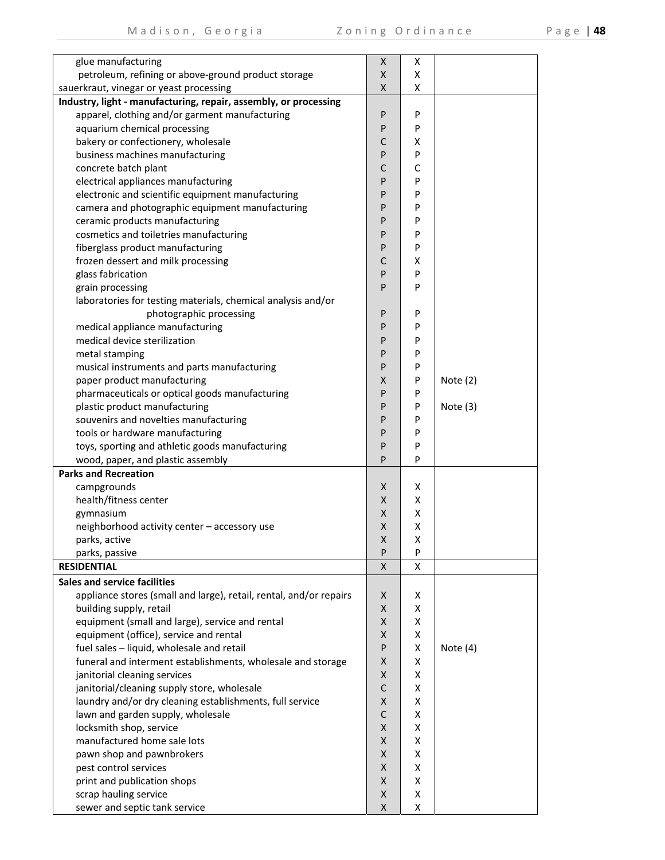|  | 48 |
|--|----|
|--|----|

| glue manufacturing                                                 | X                  | х |            |
|--------------------------------------------------------------------|--------------------|---|------------|
| petroleum, refining or above-ground product storage                | X                  | X |            |
| sauerkraut, vinegar or yeast processing                            | X                  | X |            |
| Industry, light - manufacturing, repair, assembly, or processing   |                    |   |            |
| apparel, clothing and/or garment manufacturing                     | P                  | P |            |
| aquarium chemical processing                                       | P                  | P |            |
| bakery or confectionery, wholesale                                 | $\mathsf{C}$       | Χ |            |
| business machines manufacturing                                    | P                  | P |            |
| concrete batch plant                                               | $\mathsf{C}$       | C |            |
| electrical appliances manufacturing                                | P                  | P |            |
| electronic and scientific equipment manufacturing                  | P                  | P |            |
| camera and photographic equipment manufacturing                    | P                  | P |            |
| ceramic products manufacturing                                     | P                  | P |            |
| cosmetics and toiletries manufacturing                             | P                  | P |            |
| fiberglass product manufacturing                                   | P                  | P |            |
| frozen dessert and milk processing                                 | C                  | х |            |
| glass fabrication                                                  | P                  | P |            |
| grain processing                                                   | $\mathsf{P}$       | P |            |
| laboratories for testing materials, chemical analysis and/or       |                    |   |            |
| photographic processing                                            | P                  | P |            |
| medical appliance manufacturing                                    | P                  | P |            |
| medical device sterilization                                       | P                  | P |            |
| metal stamping                                                     | P                  | P |            |
| musical instruments and parts manufacturing                        | P                  | P |            |
| paper product manufacturing                                        | Χ                  | P | Note $(2)$ |
| pharmaceuticals or optical goods manufacturing                     | P                  | P |            |
|                                                                    | $\mathsf{P}$       |   |            |
| plastic product manufacturing                                      | P                  | P | Note $(3)$ |
| souvenirs and novelties manufacturing                              |                    | P |            |
| tools or hardware manufacturing                                    | P                  | P |            |
| toys, sporting and athletic goods manufacturing                    | $\mathsf{P}$       | P |            |
| wood, paper, and plastic assembly                                  | P                  | P |            |
| <b>Parks and Recreation</b>                                        |                    |   |            |
| campgrounds                                                        | X                  | X |            |
| health/fitness center                                              | X                  | x |            |
| gymnasium                                                          | X                  | x |            |
| neighborhood activity center - accessory use                       | X                  | X |            |
| parks, active                                                      | X                  | Χ |            |
| parks, passive                                                     | P                  | P |            |
| <b>RESIDENTIAL</b>                                                 | X                  | X |            |
| <b>Sales and service facilities</b>                                |                    |   |            |
| appliance stores (small and large), retail, rental, and/or repairs | X                  | x |            |
| building supply, retail                                            | X                  | X |            |
| equipment (small and large), service and rental                    | $\pmb{\mathsf{X}}$ | X |            |
| equipment (office), service and rental                             | X                  | X |            |
| fuel sales - liquid, wholesale and retail                          | ${\sf P}$          | X | Note (4)   |
| funeral and interment establishments, wholesale and storage        | $\pmb{\mathsf{X}}$ | X |            |
| janitorial cleaning services                                       | X                  | X |            |
| janitorial/cleaning supply store, wholesale                        | $\mathsf{C}$       | X |            |
| laundry and/or dry cleaning establishments, full service           | X                  | X |            |
| lawn and garden supply, wholesale                                  | C                  | X |            |
| locksmith shop, service                                            | X                  | X |            |
| manufactured home sale lots                                        | X                  | X |            |
| pawn shop and pawnbrokers                                          | X                  | x |            |
| pest control services                                              | X                  | x |            |
| print and publication shops                                        | X                  | x |            |
| scrap hauling service                                              | X                  | X |            |
| sewer and septic tank service                                      | Χ                  | X |            |